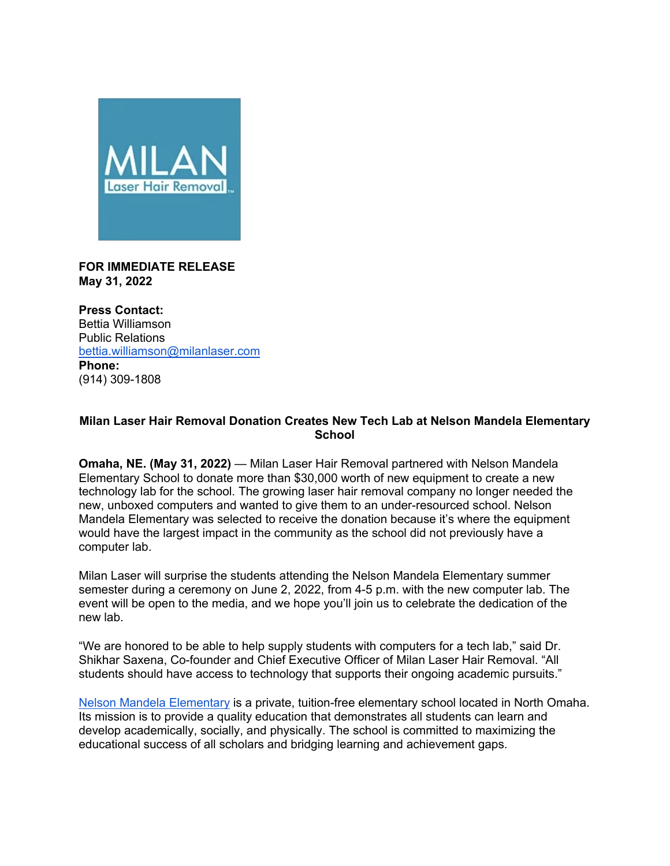

**FOR IMMEDIATE RELEASE May 31, 2022**

**Press Contact:** Bettia Williamson Public Relations bettia.williamson@milanlaser.com **Phone:** (914) 309-1808

## **Milan Laser Hair Removal Donation Creates New Tech Lab at Nelson Mandela Elementary School**

**Omaha, NE. (May 31, 2022)** — Milan Laser Hair Removal partnered with Nelson Mandela Elementary School to donate more than \$30,000 worth of new equipment to create a new technology lab for the school. The growing laser hair removal company no longer needed the new, unboxed computers and wanted to give them to an under-resourced school. Nelson Mandela Elementary was selected to receive the donation because it's where the equipment would have the largest impact in the community as the school did not previously have a computer lab.

Milan Laser will surprise the students attending the Nelson Mandela Elementary summer semester during a ceremony on June 2, 2022, from 4-5 p.m. with the new computer lab. The event will be open to the media, and we hope you'll join us to celebrate the dedication of the new lab.

"We are honored to be able to help supply students with computers for a tech lab," said Dr. Shikhar Saxena, Co-founder and Chief Executive Officer of Milan Laser Hair Removal. "All students should have access to technology that supports their ongoing academic pursuits."

Nelson Mandela Elementary is a private, tuition-free elementary school located in North Omaha. Its mission is to provide a quality education that demonstrates all students can learn and develop academically, socially, and physically. The school is committed to maximizing the educational success of all scholars and bridging learning and achievement gaps.